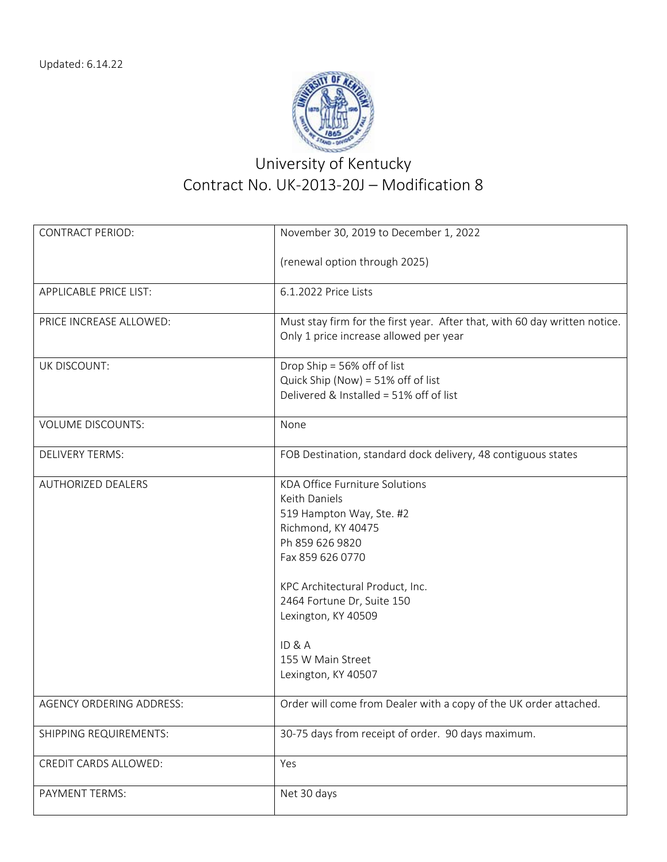

## University of Kentucky Contract No. UK‐2013‐20J – Modification 8

| <b>CONTRACT PERIOD:</b>       | November 30, 2019 to December 1, 2022                                      |
|-------------------------------|----------------------------------------------------------------------------|
|                               | (renewal option through 2025)                                              |
|                               |                                                                            |
| <b>APPLICABLE PRICE LIST:</b> | 6.1.2022 Price Lists                                                       |
| PRICE INCREASE ALLOWED:       | Must stay firm for the first year. After that, with 60 day written notice. |
|                               | Only 1 price increase allowed per year                                     |
| UK DISCOUNT:                  | Drop Ship = 56% off of list                                                |
|                               | Quick Ship (Now) = 51% off of list                                         |
|                               | Delivered & Installed = 51% off of list                                    |
| <b>VOLUME DISCOUNTS:</b>      | None                                                                       |
| <b>DELIVERY TERMS:</b>        | FOB Destination, standard dock delivery, 48 contiguous states              |
| <b>AUTHORIZED DEALERS</b>     | <b>KDA Office Furniture Solutions</b>                                      |
|                               | Keith Daniels                                                              |
|                               | 519 Hampton Way, Ste. #2                                                   |
|                               | Richmond, KY 40475                                                         |
|                               | Ph 859 626 9820                                                            |
|                               | Fax 859 626 0770                                                           |
|                               | KPC Architectural Product, Inc.                                            |
|                               | 2464 Fortune Dr, Suite 150                                                 |
|                               | Lexington, KY 40509                                                        |
|                               | ID&A                                                                       |
|                               | 155 W Main Street                                                          |
|                               | Lexington, KY 40507                                                        |
| AGENCY ORDERING ADDRESS:      | Order will come from Dealer with a copy of the UK order attached.          |
| SHIPPING REQUIREMENTS:        | 30-75 days from receipt of order. 90 days maximum.                         |
| CREDIT CARDS ALLOWED:         | Yes                                                                        |
| PAYMENT TERMS:                | Net 30 days                                                                |